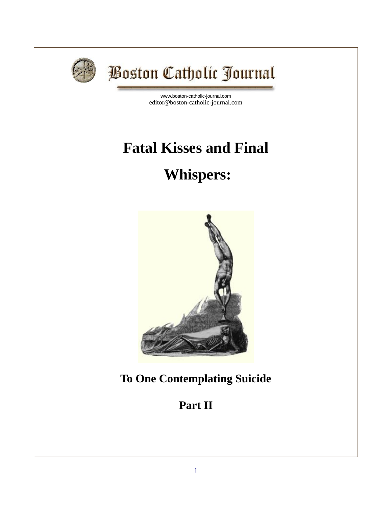

# **Boston Catholic Journal**

[www.boston-catholic-journal.com](http://www.boston-catholic-journal.com/) editor@boston-catholic-journal.com

## **Fatal Kisses and Final**

## **Whispers:**



**To One Contemplating Suicide**

## **Part II**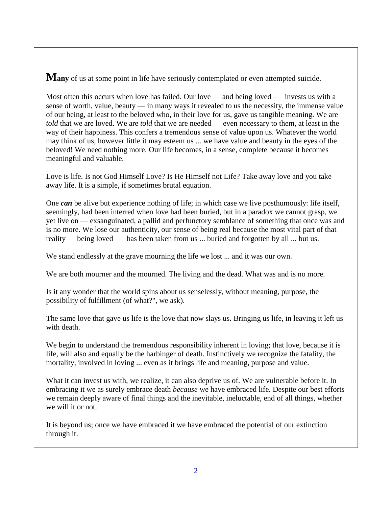**Many** of us at some point in life have seriously contemplated or even attempted suicide.

Most often this occurs when love has failed. Our love — and being loved — invests us with a sense of worth, value, beauty — in many ways it revealed to us the necessity, the immense value of our being, at least to the beloved who, in their love for us, gave us tangible meaning. We are *told* that we are loved. We are *told* that we are needed — even necessary to them, at least in the way of their happiness. This confers a tremendous sense of value upon us. Whatever the world may think of us, however little it may esteem us ... we have value and beauty in the eyes of the beloved! We need nothing more. Our life becomes, in a sense, complete because it becomes meaningful and valuable.

Love is life. Is not God Himself Love? Is He Himself not Life? Take away love and you take away life. It is a simple, if sometimes brutal equation.

One *can* be alive but experience nothing of life; in which case we live posthumously: life itself, seemingly, had been interred when love had been buried, but in a paradox we cannot grasp, we yet live on — exsanguinated, a pallid and perfunctory semblance of something that once was and is no more. We lose our authenticity, our sense of being real because the most vital part of that reality — being loved — has been taken from us ... buried and forgotten by all ... but us.

We stand endlessly at the grave mourning the life we lost ... and it was our own.

We are both mourner and the mourned. The living and the dead. What was and is no more.

Is it any wonder that the world spins about us senselessly, without meaning, purpose, the possibility of fulfillment (of what?", we ask).

The same love that gave us life is the love that now slays us. Bringing us life, in leaving it left us with death.

We begin to understand the tremendous responsibility inherent in loving; that love, because it is life, will also and equally be the harbinger of death. Instinctively we recognize the fatality, the mortality, involved in loving ... even as it brings life and meaning, purpose and value.

What it can invest us with, we realize, it can also deprive us of. We are vulnerable before it. In embracing it we as surely embrace death *because* we have embraced life. Despite our best efforts we remain deeply aware of final things and the inevitable, ineluctable, end of all things, whether we will it or not.

It is beyond us; once we have embraced it we have embraced the potential of our extinction through it.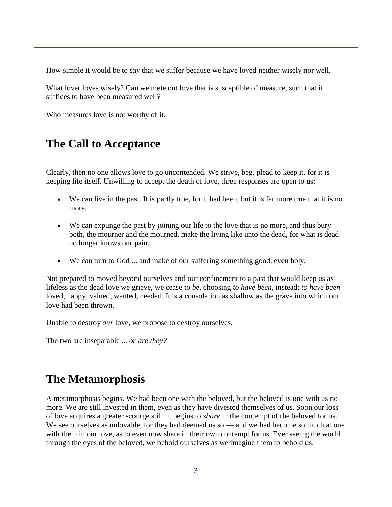How simple it would be to say that we suffer because we have loved neither wisely nor well.

What lover loves wisely? Can we mete out love that is susceptible of measure, such that it suffices to have been measured well?

Who measures love is not worthy of it.

#### **The Call to Acceptance**

Clearly, then no one allows love to go uncontended. We strive, beg, plead to keep it, for it is keeping life itself. Unwilling to accept the death of love, three responses are open to us:

- We can live in the past. It is partly true, for it had been; but it is far more true that it is no more.
- We can expunge the past by joining our life to the love that is no more, and thus bury both, the mourner and the mourned, make the living like unto the dead, for what is dead no longer knows our pain.
- We can turn to God ... and make of our suffering something good, even holy.

Not prepared to moved beyond ourselves and our confinement to a past that would keep us as lifeless as the dead love we grieve, we cease to *be*, choosing *to have been*, instead; *to have been*  loved, happy, valued, wanted, needed. It is a consolation as shallow as the grave into which our love had been thrown.

Unable to destroy *our* love, we propose to destroy ourselves.

The two are inseparable ... *or are they?* 

### **The Metamorphosis**

A metamorphosis begins. We had been one with the beloved, but the beloved is one with us no more. We are still invested in them, even as they have divested themselves of us. Soon our loss of love acquires a greater scourge still: it begins to *share* in the contempt of the beloved for us. We see ourselves as unlovable, for they had deemed us so — and we had become so much at one with them in our love, as to even now share in their own contempt for us. Ever seeing the world through the eyes of the beloved, we behold ourselves as we imagine them to behold us.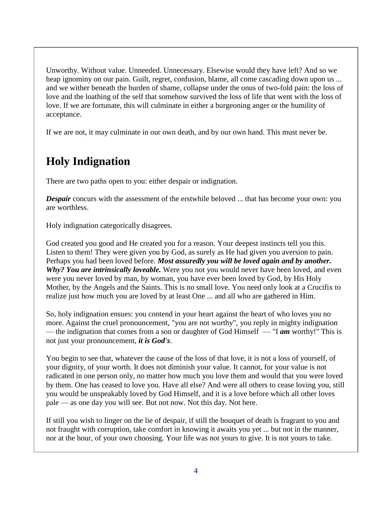Unworthy. Without value. Unneeded. Unnecessary. Elsewise would they have left? And so we heap ignominy on our pain. Guilt, regret, confusion, blame, all come cascading down upon us ... and we wither beneath the burden of shame, collapse under the onus of two-fold pain: the loss of love and the loathing of the self that somehow survived the loss of life that went with the loss of love. If we are fortunate, this will culminate in either a burgeoning anger or the humility of acceptance.

If we are not, it may culminate in our own death, and by our own hand. This must never be.

### **Holy Indignation**

There are two paths open to you: either despair or indignation.

*Despair* concurs with the assessment of the erstwhile beloved ... that has become your own: you are worthless.

Holy indignation categorically disagrees.

God created you good and He created you for a reason. Your deepest instincts tell you this. Listen to them! They were given you by God, as surely as He had given you aversion to pain. Perhaps you had been loved before. *Most assuredly you will be loved again and by another. Why? You are intrinsically loveable.* Were you not you would never have been loved, and even were you never loved by man, by woman, you have ever been loved by God, by His Holy Mother, by the Angels and the Saints. This is no small love. You need only look at a Crucifix to realize just how much you are loved by at least One ... and all who are gathered in Him.

So, holy indignation ensues: you contend in your heart against the heart of who loves you no more. Against the cruel pronouncement, "you are not worthy", you reply in mighty indignation — the indignation that comes from a son or daughter of God Himself — "I *am* worthy!" This is not just your pronouncement, *it is God's*.

You begin to see that, whatever the cause of the loss of that love, it is not a loss of yourself, of your dignity, of your worth. It does not diminish your value. It cannot, for your value is not radicated in one person only, no matter how much you love them and would that you were loved by them. One has ceased to love you. Have all else? And were all others to cease loving you, still you would be unspeakably loved by God Himself, and it is a love before which all other loves pale — as one day you will see. But not now. Not this day. Not here.

If still you wish to linger on the lie of despair, if still the bouquet of death is fragrant to you and not fraught with corruption, take comfort in knowing it awaits you yet ... but not in the manner, nor at the hour, of your own choosing. Your life was not yours to give. It is not yours to take.